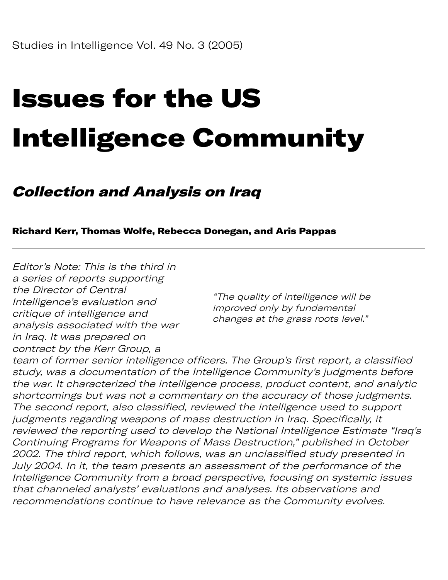# Issues for the US Intelligence Community

#### Collection and Analysis on Iraq

Richard Kerr, Thomas Wolfe, Rebecca Donegan, and Aris Pappas

Editor's Note: This is the third in a series of reports supporting the Director of Central Intelligence's evaluation and critique of intelligence and analysis associated with the war in Iraq. It was prepared on contract by the Kerr Group, a

"The quality of intelligence will be improved only by fundamental changes at the grass roots level."

team of former senior intelligence officers. The Group's first report, a classified study, was a documentation of the Intelligence Community's judgments before the war. It characterized the intelligence process, product content, and analytic shortcomings but was not a commentary on the accuracy of those judgments. The second report, also classified, reviewed the intelligence used to support judgments regarding weapons of mass destruction in Iraq. Specifically, it reviewed the reporting used to develop the National Intelligence Estimate "Iraq's Continuing Programs for Weapons of Mass Destruction," published in October 2002. The third report, which follows, was an unclassified study presented in July 2004. In it, the team presents an assessment of the performance of the Intelligence Community from a broad perspective, focusing on systemic issues that channeled analysts' evaluations and analyses. Its observations and recommendations continue to have relevance as the Community evolves.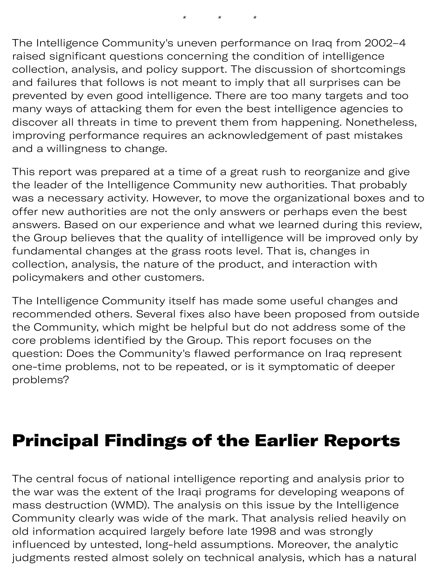\* \* \*

The Intelligence Community's uneven performance on Iraq from 2002–4 raised significant questions concerning the condition of intelligence collection, analysis, and policy support. The discussion of shortcomings and failures that follows is not meant to imply that all surprises can be prevented by even good intelligence. There are too many targets and too many ways of attacking them for even the best intelligence agencies to discover all threats in time to prevent them from happening. Nonetheless, improving performance requires an acknowledgement of past mistakes and a willingness to change.

This report was prepared at a time of a great rush to reorganize and give the leader of the Intelligence Community new authorities. That probably was a necessary activity. However, to move the organizational boxes and to offer new authorities are not the only answers or perhaps even the best answers. Based on our experience and what we learned during this review, the Group believes that the quality of intelligence will be improved only by fundamental changes at the grass roots level. That is, changes in collection, analysis, the nature of the product, and interaction with policymakers and other customers.

The Intelligence Community itself has made some useful changes and recommended others. Several fixes also have been proposed from outside the Community, which might be helpful but do not address some of the core problems identified by the Group. This report focuses on the question: Does the Community's flawed performance on Iraq represent one-time problems, not to be repeated, or is it symptomatic of deeper problems?

# Principal Findings of the Earlier Reports

The central focus of national intelligence reporting and analysis prior to the war was the extent of the Iraqi programs for developing weapons of mass destruction (WMD). The analysis on this issue by the Intelligence Community clearly was wide of the mark. That analysis relied heavily on old information acquired largely before late 1998 and was strongly influenced by untested, long-held assumptions. Moreover, the analytic judgments rested almost solely on technical analysis, which has a natural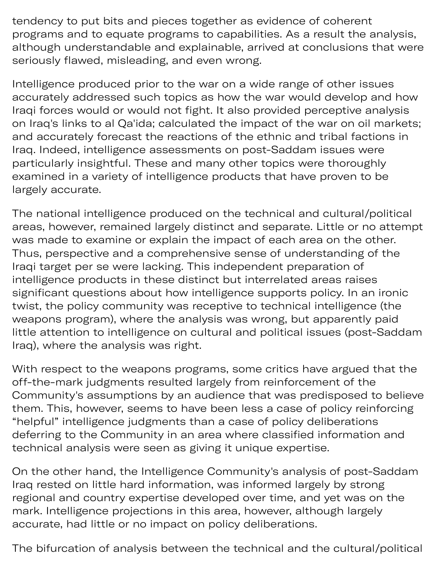judgments rested almost solely on technical analysis, which has a natural tendency to put bits and pieces together as evidence of coherent programs and to equate programs to capabilities. As a result the analysis, although understandable and explainable, arrived at conclusions that were seriously flawed, misleading, and even wrong.

Intelligence produced prior to the war on a wide range of other issues accurately addressed such topics as how the war would develop and how Iraqi forces would or would not fight. It also provided perceptive analysis on Iraq's links to al Qa'ida; calculated the impact of the war on oil markets; and accurately forecast the reactions of the ethnic and tribal factions in Iraq. Indeed, intelligence assessments on post-Saddam issues were particularly insightful. These and many other topics were thoroughly examined in a variety of intelligence products that have proven to be largely accurate.

The national intelligence produced on the technical and cultural/political areas, however, remained largely distinct and separate. Little or no attempt was made to examine or explain the impact of each area on the other. Thus, perspective and a comprehensive sense of understanding of the Iraqi target per se were lacking. This independent preparation of intelligence products in these distinct but interrelated areas raises significant questions about how intelligence supports policy. In an ironic twist, the policy community was receptive to technical intelligence (the weapons program), where the analysis was wrong, but apparently paid little attention to intelligence on cultural and political issues (post-Saddam Iraq), where the analysis was right.

With respect to the weapons programs, some critics have argued that the off-the-mark judgments resulted largely from reinforcement of the Community's assumptions by an audience that was predisposed to believe them. This, however, seems to have been less a case of policy reinforcing "helpful" intelligence judgments than a case of policy deliberations deferring to the Community in an area where classified information and technical analysis were seen as giving it unique expertise.

On the other hand, the Intelligence Community's analysis of post-Saddam Iraq rested on little hard information, was informed largely by strong regional and country expertise developed over time, and yet was on the mark. Intelligence projections in this area, however, although largely accurate, had little or no impact on policy deliberations.

The bifurcation of analysis between the technical and the cultural/political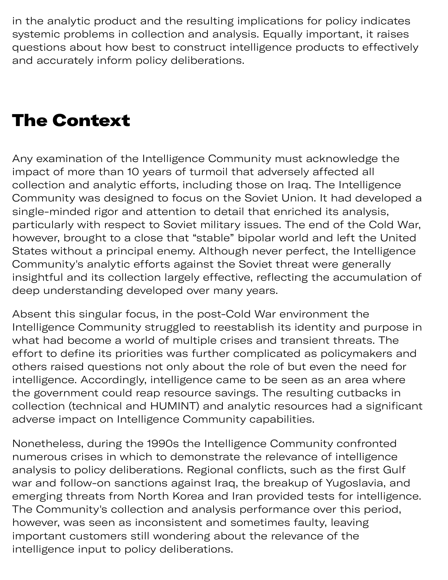in the analytic product and the resulting implications for policy indicates systemic problems in collection and analysis. Equally important, it raises questions about how best to construct intelligence products to effectively and accurately inform policy deliberations.

The bifurcation of analysis between the technical analysis between the technical and the cultural/political and the cultural/political and the cultural/political and the cultural/political analysis between the cultural/po

### The Context

Any examination of the Intelligence Community must acknowledge the impact of more than 10 years of turmoil that adversely affected all collection and analytic efforts, including those on Iraq. The Intelligence Community was designed to focus on the Soviet Union. It had developed a single-minded rigor and attention to detail that enriched its analysis, particularly with respect to Soviet military issues. The end of the Cold War, however, brought to a close that "stable" bipolar world and left the United States without a principal enemy. Although never perfect, the Intelligence Community's analytic efforts against the Soviet threat were generally insightful and its collection largely effective, reflecting the accumulation of deep understanding developed over many years.

Absent this singular focus, in the post-Cold War environment the Intelligence Community struggled to reestablish its identity and purpose in what had become a world of multiple crises and transient threats. The effort to define its priorities was further complicated as policymakers and others raised questions not only about the role of but even the need for intelligence. Accordingly, intelligence came to be seen as an area where the government could reap resource savings. The resulting cutbacks in collection (technical and HUMINT) and analytic resources had a significant adverse impact on Intelligence Community capabilities.

Nonetheless, during the 1990s the Intelligence Community confronted numerous crises in which to demonstrate the relevance of intelligence analysis to policy deliberations. Regional conflicts, such as the first Gulf war and follow-on sanctions against Iraq, the breakup of Yugoslavia, and emerging threats from North Korea and Iran provided tests for intelligence. The Community's collection and analysis performance over this period, however, was seen as inconsistent and sometimes faulty, leaving important customers still wondering about the relevance of the intelligence input to policy deliberations.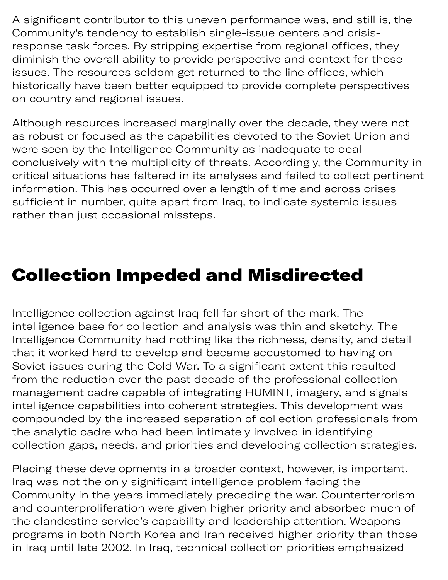A significant contributor to this uneven performance was, and still is, the Community's tendency to establish single-issue centers and crisisresponse task forces. By stripping expertise from regional offices, they diminish the overall ability to provide perspective and context for those issues. The resources seldom get returned to the line offices, which historically have been better equipped to provide complete perspectives on country and regional issues.

Although resources increased marginally over the decade, they were not as robust or focused as the capabilities devoted to the Soviet Union and were seen by the Intelligence Community as inadequate to deal conclusively with the multiplicity of threats. Accordingly, the Community in critical situations has faltered in its analyses and failed to collect pertinent information. This has occurred over a length of time and across crises sufficient in number, quite apart from Iraq, to indicate systemic issues rather than just occasional missteps.

#### Collection Impeded and Misdirected

Intelligence collection against Iraq fell far short of the mark. The intelligence base for collection and analysis was thin and sketchy. The Intelligence Community had nothing like the richness, density, and detail that it worked hard to develop and became accustomed to having on Soviet issues during the Cold War. To a significant extent this resulted from the reduction over the past decade of the professional collection management cadre capable of integrating HUMINT, imagery, and signals intelligence capabilities into coherent strategies. This development was compounded by the increased separation of collection professionals from the analytic cadre who had been intimately involved in identifying collection gaps, needs, and priorities and developing collection strategies.

Placing these developments in a broader context, however, is important. Iraq was not the only significant intelligence problem facing the Community in the years immediately preceding the war. Counterterrorism and counterproliferation were given higher priority and absorbed much of the clandestine service's capability and leadership attention. Weapons programs in both North Korea and Iran received higher priority than those in Iraq until late 2002. In Iraq, technical collection priorities emphasized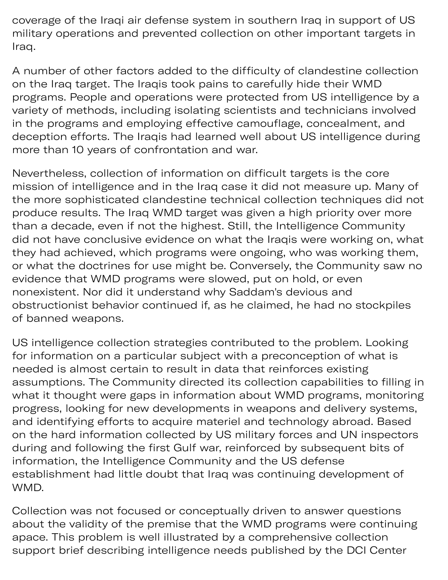coverage of the Iraqi air defense system in southern Iraq in support of US military operations and prevented collection on other important targets in Iraq.

A number of other factors added to the difficulty of clandestine collection on the Iraq target. The Iraqis took pains to carefully hide their WMD programs. People and operations were protected from US intelligence by a variety of methods, including isolating scientists and technicians involved in the programs and employing effective camouflage, concealment, and deception efforts. The Iraqis had learned well about US intelligence during more than 10 years of confrontation and war.

Nevertheless, collection of information on difficult targets is the core mission of intelligence and in the Iraq case it did not measure up. Many of the more sophisticated clandestine technical collection techniques did not produce results. The Iraq WMD target was given a high priority over more than a decade, even if not the highest. Still, the Intelligence Community did not have conclusive evidence on what the Iraqis were working on, what they had achieved, which programs were ongoing, who was working them, or what the doctrines for use might be. Conversely, the Community saw no evidence that WMD programs were slowed, put on hold, or even nonexistent. Nor did it understand why Saddam's devious and obstructionist behavior continued if, as he claimed, he had no stockpiles of banned weapons.

US intelligence collection strategies contributed to the problem. Looking for information on a particular subject with a preconception of what is needed is almost certain to result in data that reinforces existing assumptions. The Community directed its collection capabilities to filling in what it thought were gaps in information about WMD programs, monitoring progress, looking for new developments in weapons and delivery systems, and identifying efforts to acquire materiel and technology abroad. Based on the hard information collected by US military forces and UN inspectors during and following the first Gulf war, reinforced by subsequent bits of information, the Intelligence Community and the US defense establishment had little doubt that Iraq was continuing development of WMD.

Collection was not focused or conceptually driven to answer questions about the validity of the premise that the WMD programs were continuing apace. This problem is well illustrated by a comprehensive collection support brief describing intelligence needs published by the DCI Center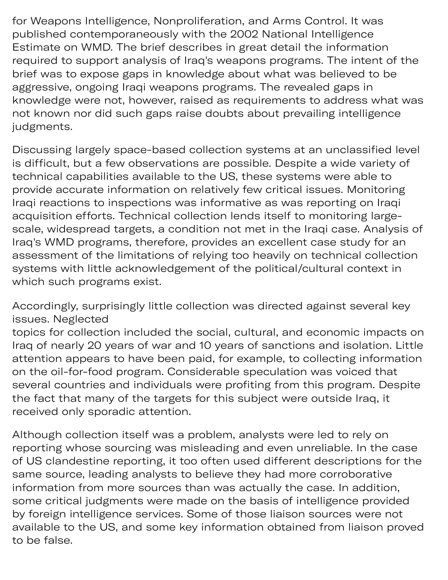for Weapons Intelligence, Nonproliferation, and Arms Control. It was published contemporaneously with the 2002 National Intelligence Estimate on WMD. The brief describes in great detail the information required to support analysis of Iraq's weapons programs. The intent of the brief was to expose gaps in knowledge about what was believed to be aggressive, ongoing Iraqi weapons programs. The revealed gaps in knowledge were not, however, raised as requirements to address what was not known nor did such gaps raise doubts about prevailing intelligence judgments.

support brief describing intelligence needs published by the DCI Center

Discussing largely space-based collection systems at an unclassified level is difficult, but a few observations are possible. Despite a wide variety of technical capabilities available to the US, these systems were able to provide accurate information on relatively few critical issues. Monitoring Iraqi reactions to inspections was informative as was reporting on Iraqi acquisition efforts. Technical collection lends itself to monitoring largescale, widespread targets, a condition not met in the Iraqi case. Analysis of Iraq's WMD programs, therefore, provides an excellent case study for an assessment of the limitations of relying too heavily on technical collection systems with little acknowledgement of the political/cultural context in which such programs exist.

Accordingly, surprisingly little collection was directed against several key issues. Neglected

topics for collection included the social, cultural, and economic impacts on Iraq of nearly 20 years of war and 10 years of sanctions and isolation. Little attention appears to have been paid, for example, to collecting information on the oil-for-food program. Considerable speculation was voiced that several countries and individuals were profiting from this program. Despite the fact that many of the targets for this subject were outside Iraq, it received only sporadic attention.

Although collection itself was a problem, analysts were led to rely on reporting whose sourcing was misleading and even unreliable. In the case of US clandestine reporting, it too often used different descriptions for the same source, leading analysts to believe they had more corroborative information from more sources than was actually the case. In addition, some critical judgments were made on the basis of intelligence provided by foreign intelligence services. Some of those liaison sources were not available to the US, and some key information obtained from liaison proved to be false.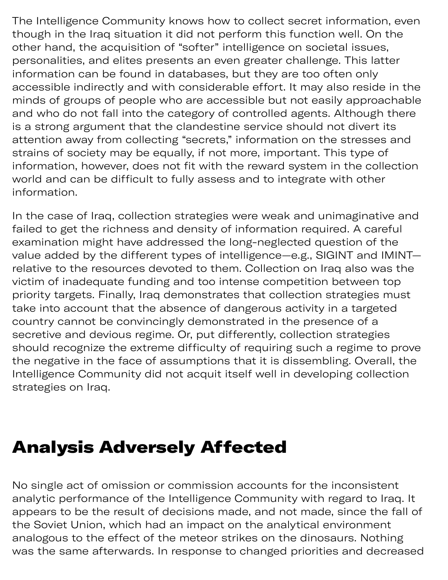The Intelligence Community knows how to collect secret information, even though in the Iraq situation it did not perform this function well. On the other hand, the acquisition of "softer" intelligence on societal issues, personalities, and elites presents an even greater challenge. This latter information can be found in databases, but they are too often only accessible indirectly and with considerable effort. It may also reside in the minds of groups of people who are accessible but not easily approachable and who do not fall into the category of controlled agents. Although there is a strong argument that the clandestine service should not divert its attention away from collecting "secrets," information on the stresses and strains of society may be equally, if not more, important. This type of information, however, does not fit with the reward system in the collection world and can be difficult to fully assess and to integrate with other information.

In the case of Iraq, collection strategies were weak and unimaginative and failed to get the richness and density of information required. A careful examination might have addressed the long-neglected question of the value added by the different types of intelligence—e.g., SIGINT and IMINT relative to the resources devoted to them. Collection on Iraq also was the victim of inadequate funding and too intense competition between top priority targets. Finally, Iraq demonstrates that collection strategies must take into account that the absence of dangerous activity in a targeted country cannot be convincingly demonstrated in the presence of a secretive and devious regime. Or, put differently, collection strategies should recognize the extreme difficulty of requiring such a regime to prove the negative in the face of assumptions that it is dissembling. Overall, the Intelligence Community did not acquit itself well in developing collection strategies on Iraq.

# Analysis Adversely Affected

No single act of omission or commission accounts for the inconsistent analytic performance of the Intelligence Community with regard to Iraq. It appears to be the result of decisions made, and not made, since the fall of the Soviet Union, which had an impact on the analytical environment analogous to the effect of the meteor strikes on the dinosaurs. Nothing was the same afterwards. In response to changed priorities and decreased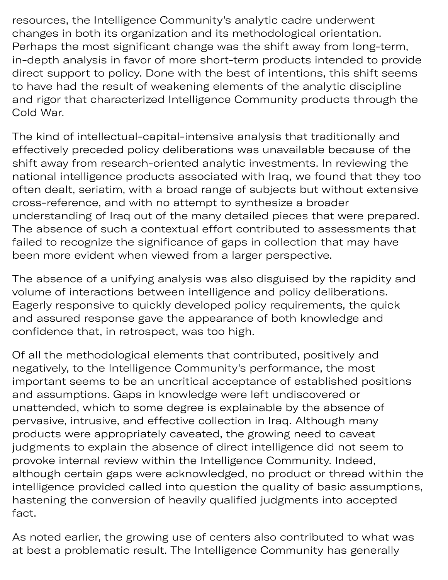resources, the Intelligence Community's analytic cadre underwent changes in both its organization and its methodological orientation. Perhaps the most significant change was the shift away from long-term, in-depth analysis in favor of more short-term products intended to provide direct support to policy. Done with the best of intentions, this shift seems to have had the result of weakening elements of the analytic discipline and rigor that characterized Intelligence Community products through the Cold War.

The kind of intellectual-capital-intensive analysis that traditionally and effectively preceded policy deliberations was unavailable because of the shift away from research-oriented analytic investments. In reviewing the national intelligence products associated with Iraq, we found that they too often dealt, seriatim, with a broad range of subjects but without extensive cross-reference, and with no attempt to synthesize a broader understanding of Iraq out of the many detailed pieces that were prepared. The absence of such a contextual effort contributed to assessments that failed to recognize the significance of gaps in collection that may have been more evident when viewed from a larger perspective.

The absence of a unifying analysis was also disguised by the rapidity and volume of interactions between intelligence and policy deliberations. Eagerly responsive to quickly developed policy requirements, the quick and assured response gave the appearance of both knowledge and confidence that, in retrospect, was too high.

Of all the methodological elements that contributed, positively and negatively, to the Intelligence Community's performance, the most important seems to be an uncritical acceptance of established positions and assumptions. Gaps in knowledge were left undiscovered or unattended, which to some degree is explainable by the absence of pervasive, intrusive, and effective collection in Iraq. Although many products were appropriately caveated, the growing need to caveat judgments to explain the absence of direct intelligence did not seem to provoke internal review within the Intelligence Community. Indeed, although certain gaps were acknowledged, no product or thread within the intelligence provided called into question the quality of basic assumptions, hastening the conversion of heavily qualified judgments into accepted fact.

As noted earlier, the growing use of centers also contributed to what was at best a problematic result. The Intelligence Community has generally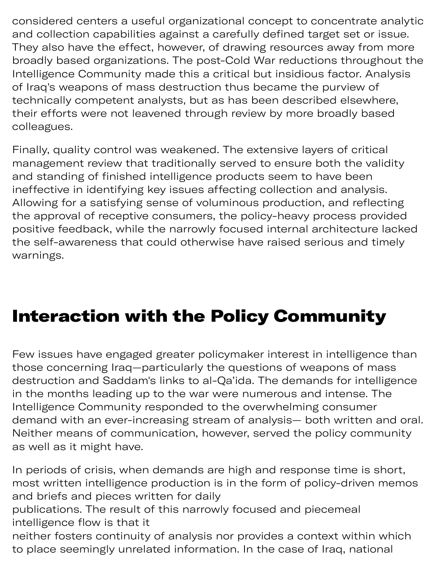at best a problematic result. The Intelligence  $\mathcal{L}_\text{max}$ considered centers a useful organizational concept to concentrate analytic and collection capabilities against a carefully defined target set or issue. They also have the effect, however, of drawing resources away from more broadly based organizations. The post-Cold War reductions throughout the Intelligence Community made this a critical but insidious factor. Analysis of Iraq's weapons of mass destruction thus became the purview of technically competent analysts, but as has been described elsewhere, their efforts were not leavened through review by more broadly based colleagues.

Finally, quality control was weakened. The extensive layers of critical management review that traditionally served to ensure both the validity and standing of finished intelligence products seem to have been ineffective in identifying key issues affecting collection and analysis. Allowing for a satisfying sense of voluminous production, and reflecting the approval of receptive consumers, the policy-heavy process provided positive feedback, while the narrowly focused internal architecture lacked the self-awareness that could otherwise have raised serious and timely warnings.

### Interaction with the Policy Community

Few issues have engaged greater policymaker interest in intelligence than those concerning Iraq—particularly the questions of weapons of mass destruction and Saddam's links to al-Qa'ida. The demands for intelligence in the months leading up to the war were numerous and intense. The Intelligence Community responded to the overwhelming consumer demand with an ever-increasing stream of analysis— both written and oral. Neither means of communication, however, served the policy community as well as it might have.

In periods of crisis, when demands are high and response time is short, most written intelligence production is in the form of policy-driven memos and briefs and pieces written for daily publications. The result of this narrowly focused and piecemeal intelligence flow is that it neither fosters continuity of analysis nor provides a context within which to place seemingly unrelated information. In the case of Iraq, national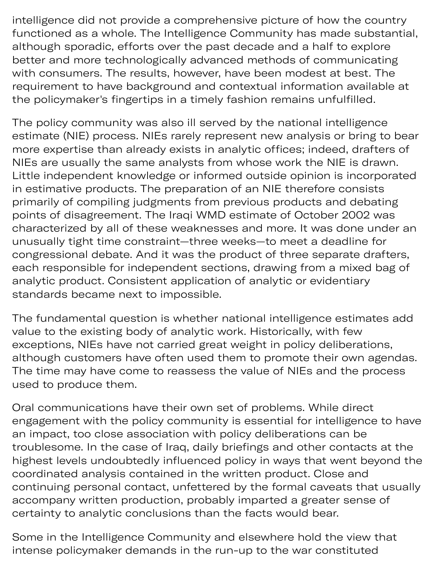intelligence did not provide a comprehensive picture of how the country functioned as a whole. The Intelligence Community has made substantial, although sporadic, efforts over the past decade and a half to explore better and more technologically advanced methods of communicating with consumers. The results, however, have been modest at best. The requirement to have background and contextual information available at the policymaker's fingertips in a timely fashion remains unfulfilled.

The policy community was also ill served by the national intelligence estimate (NIE) process. NIEs rarely represent new analysis or bring to bear more expertise than already exists in analytic offices; indeed, drafters of NIEs are usually the same analysts from whose work the NIE is drawn. Little independent knowledge or informed outside opinion is incorporated in estimative products. The preparation of an NIE therefore consists primarily of compiling judgments from previous products and debating points of disagreement. The Iraqi WMD estimate of October 2002 was characterized by all of these weaknesses and more. It was done under an unusually tight time constraint—three weeks—to meet a deadline for congressional debate. And it was the product of three separate drafters, each responsible for independent sections, drawing from a mixed bag of analytic product. Consistent application of analytic or evidentiary standards became next to impossible.

The fundamental question is whether national intelligence estimates add value to the existing body of analytic work. Historically, with few exceptions, NIEs have not carried great weight in policy deliberations, although customers have often used them to promote their own agendas. The time may have come to reassess the value of NIEs and the process used to produce them.

Oral communications have their own set of problems. While direct engagement with the policy community is essential for intelligence to have an impact, too close association with policy deliberations can be troublesome. In the case of Iraq, daily briefings and other contacts at the highest levels undoubtedly influenced policy in ways that went beyond the coordinated analysis contained in the written product. Close and continuing personal contact, unfettered by the formal caveats that usually accompany written production, probably imparted a greater sense of certainty to analytic conclusions than the facts would bear.

Some in the Intelligence Community and elsewhere hold the view that intense policymaker demands in the run-up to the war constituted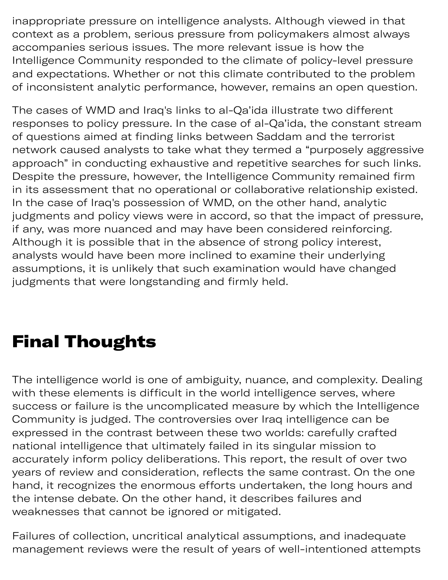intense policymaker demands in the run-up to the war constituted inappropriate pressure on intelligence analysts. Although viewed in that context as a problem, serious pressure from policymakers almost always accompanies serious issues. The more relevant issue is how the Intelligence Community responded to the climate of policy-level pressure and expectations. Whether or not this climate contributed to the problem of inconsistent analytic performance, however, remains an open question.

The cases of WMD and Iraq's links to al-Qa'ida illustrate two different responses to policy pressure. In the case of al-Qa'ida, the constant stream of questions aimed at finding links between Saddam and the terrorist network caused analysts to take what they termed a "purposely aggressive approach" in conducting exhaustive and repetitive searches for such links. Despite the pressure, however, the Intelligence Community remained firm in its assessment that no operational or collaborative relationship existed. In the case of Iraq's possession of WMD, on the other hand, analytic judgments and policy views were in accord, so that the impact of pressure, if any, was more nuanced and may have been considered reinforcing. Although it is possible that in the absence of strong policy interest, analysts would have been more inclined to examine their underlying assumptions, it is unlikely that such examination would have changed judgments that were longstanding and firmly held.

### Final Thoughts

The intelligence world is one of ambiguity, nuance, and complexity. Dealing with these elements is difficult in the world intelligence serves, where success or failure is the uncomplicated measure by which the Intelligence Community is judged. The controversies over Iraq intelligence can be expressed in the contrast between these two worlds: carefully crafted national intelligence that ultimately failed in its singular mission to accurately inform policy deliberations. This report, the result of over two years of review and consideration, reflects the same contrast. On the one hand, it recognizes the enormous efforts undertaken, the long hours and the intense debate. On the other hand, it describes failures and weaknesses that cannot be ignored or mitigated.

Failures of collection, uncritical analytical assumptions, and inadequate management reviews were the result of years of well-intentioned attempts